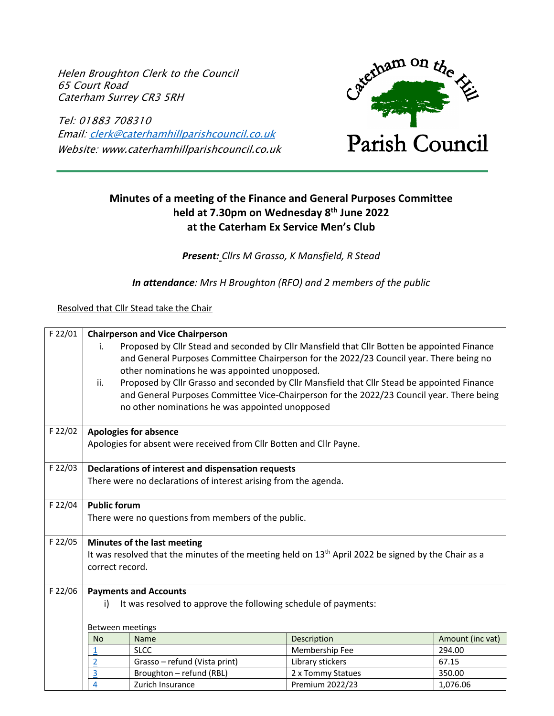Helen Broughton Clerk to the Council 65 Court Road Caterham Surrey CR3 5RH

Tel: 01883 708310 Email: clerk@caterhamhillparishcouncil.co.uk Website: www.caterhamhillparishcouncil.co.uk



# **Minutes of a meeting of the Finance and General Purposes Committee held at 7.30pm on Wednesday 8th June 2022 at the Caterham Ex Service Men's Club**

*Present: Cllrs M Grasso, K Mansfield, R Stead*

*In attendance: Mrs H Broughton (RFO) and 2 members of the public*

Resolved that Cllr Stead take the Chair

| F 22/01 |                                                     | <b>Chairperson and Vice Chairperson</b>                                                               |                   |                  |  |  |  |  |  |
|---------|-----------------------------------------------------|-------------------------------------------------------------------------------------------------------|-------------------|------------------|--|--|--|--|--|
|         | i.                                                  | Proposed by Cllr Stead and seconded by Cllr Mansfield that Cllr Botten be appointed Finance           |                   |                  |  |  |  |  |  |
|         |                                                     | and General Purposes Committee Chairperson for the 2022/23 Council year. There being no               |                   |                  |  |  |  |  |  |
|         |                                                     | other nominations he was appointed unopposed.                                                         |                   |                  |  |  |  |  |  |
|         | ii.                                                 | Proposed by Cllr Grasso and seconded by Cllr Mansfield that Cllr Stead be appointed Finance           |                   |                  |  |  |  |  |  |
|         |                                                     | and General Purposes Committee Vice-Chairperson for the 2022/23 Council year. There being             |                   |                  |  |  |  |  |  |
|         |                                                     | no other nominations he was appointed unopposed                                                       |                   |                  |  |  |  |  |  |
| F 22/02 |                                                     | <b>Apologies for absence</b>                                                                          |                   |                  |  |  |  |  |  |
|         |                                                     | Apologies for absent were received from Cllr Botten and Cllr Payne.                                   |                   |                  |  |  |  |  |  |
| F 22/03 | Declarations of interest and dispensation requests  |                                                                                                       |                   |                  |  |  |  |  |  |
|         |                                                     | There were no declarations of interest arising from the agenda.                                       |                   |                  |  |  |  |  |  |
|         |                                                     |                                                                                                       |                   |                  |  |  |  |  |  |
| F 22/04 | <b>Public forum</b>                                 |                                                                                                       |                   |                  |  |  |  |  |  |
|         | There were no questions from members of the public. |                                                                                                       |                   |                  |  |  |  |  |  |
|         |                                                     |                                                                                                       |                   |                  |  |  |  |  |  |
| F 22/05 |                                                     | Minutes of the last meeting                                                                           |                   |                  |  |  |  |  |  |
|         |                                                     | It was resolved that the minutes of the meeting held on $13th$ April 2022 be signed by the Chair as a |                   |                  |  |  |  |  |  |
|         | correct record.                                     |                                                                                                       |                   |                  |  |  |  |  |  |
| F 22/06 |                                                     | <b>Payments and Accounts</b>                                                                          |                   |                  |  |  |  |  |  |
|         | i)                                                  | It was resolved to approve the following schedule of payments:                                        |                   |                  |  |  |  |  |  |
|         |                                                     |                                                                                                       |                   |                  |  |  |  |  |  |
|         | Between meetings                                    |                                                                                                       |                   |                  |  |  |  |  |  |
|         | <b>No</b>                                           | Name                                                                                                  | Description       | Amount (inc vat) |  |  |  |  |  |
|         | $\mathbf{1}$                                        | <b>SLCC</b>                                                                                           | Membership Fee    | 294.00           |  |  |  |  |  |
|         | $\overline{2}$                                      | Grasso - refund (Vista print)                                                                         | Library stickers  | 67.15            |  |  |  |  |  |
|         | $\overline{3}$                                      | Broughton - refund (RBL)                                                                              | 2 x Tommy Statues | 350.00           |  |  |  |  |  |
|         | 4                                                   | Zurich Insurance                                                                                      | Premium 2022/23   | 1,076.06         |  |  |  |  |  |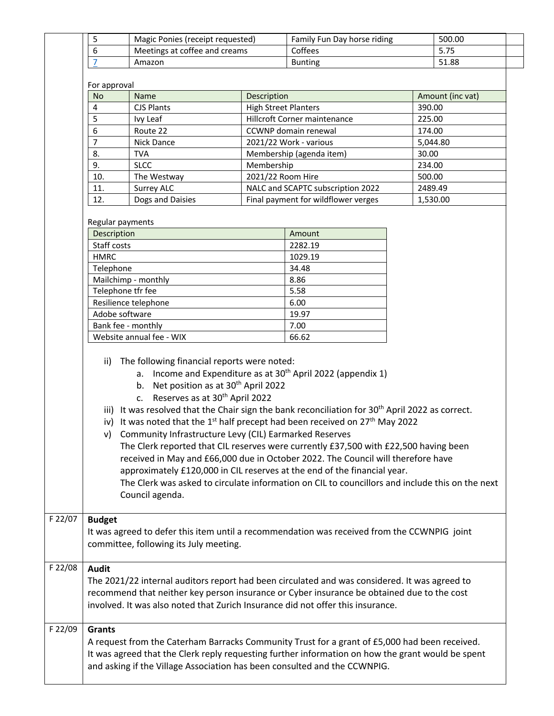|         | 5                                                                                                                                                                                                                                                                                                                                                                                                                                                                                                                                                                                                                                                                                                                                                                                                                                                                                                                       | Magic Ponies (receipt requested)                                                |                             | Family Fun Day horse riding                                                                                                                                                                        |          | 500.00           |  |  |  |
|---------|-------------------------------------------------------------------------------------------------------------------------------------------------------------------------------------------------------------------------------------------------------------------------------------------------------------------------------------------------------------------------------------------------------------------------------------------------------------------------------------------------------------------------------------------------------------------------------------------------------------------------------------------------------------------------------------------------------------------------------------------------------------------------------------------------------------------------------------------------------------------------------------------------------------------------|---------------------------------------------------------------------------------|-----------------------------|----------------------------------------------------------------------------------------------------------------------------------------------------------------------------------------------------|----------|------------------|--|--|--|
|         | $\sqrt{6}$                                                                                                                                                                                                                                                                                                                                                                                                                                                                                                                                                                                                                                                                                                                                                                                                                                                                                                              | Meetings at coffee and creams                                                   |                             | Coffees                                                                                                                                                                                            |          | 5.75             |  |  |  |
|         | $\overline{7}$                                                                                                                                                                                                                                                                                                                                                                                                                                                                                                                                                                                                                                                                                                                                                                                                                                                                                                          | Amazon                                                                          |                             | <b>Bunting</b>                                                                                                                                                                                     |          | 51.88            |  |  |  |
|         | For approval                                                                                                                                                                                                                                                                                                                                                                                                                                                                                                                                                                                                                                                                                                                                                                                                                                                                                                            |                                                                                 |                             |                                                                                                                                                                                                    |          |                  |  |  |  |
|         | <b>No</b>                                                                                                                                                                                                                                                                                                                                                                                                                                                                                                                                                                                                                                                                                                                                                                                                                                                                                                               | Name                                                                            | Description                 |                                                                                                                                                                                                    |          | Amount (inc vat) |  |  |  |
|         | $\overline{4}$                                                                                                                                                                                                                                                                                                                                                                                                                                                                                                                                                                                                                                                                                                                                                                                                                                                                                                          | <b>CJS Plants</b>                                                               | <b>High Street Planters</b> |                                                                                                                                                                                                    | 390.00   |                  |  |  |  |
|         | 5                                                                                                                                                                                                                                                                                                                                                                                                                                                                                                                                                                                                                                                                                                                                                                                                                                                                                                                       | Ivy Leaf                                                                        |                             | Hillcroft Corner maintenance                                                                                                                                                                       | 225.00   |                  |  |  |  |
|         | 6                                                                                                                                                                                                                                                                                                                                                                                                                                                                                                                                                                                                                                                                                                                                                                                                                                                                                                                       | Route 22                                                                        |                             | CCWNP domain renewal                                                                                                                                                                               | 174.00   |                  |  |  |  |
|         | 7                                                                                                                                                                                                                                                                                                                                                                                                                                                                                                                                                                                                                                                                                                                                                                                                                                                                                                                       | Nick Dance                                                                      |                             | 2021/22 Work - various                                                                                                                                                                             | 5,044.80 |                  |  |  |  |
|         | 8.                                                                                                                                                                                                                                                                                                                                                                                                                                                                                                                                                                                                                                                                                                                                                                                                                                                                                                                      | <b>TVA</b>                                                                      |                             | Membership (agenda item)                                                                                                                                                                           | 30.00    |                  |  |  |  |
|         | 9.                                                                                                                                                                                                                                                                                                                                                                                                                                                                                                                                                                                                                                                                                                                                                                                                                                                                                                                      | <b>SLCC</b>                                                                     | Membership                  |                                                                                                                                                                                                    | 234.00   |                  |  |  |  |
|         | 10.                                                                                                                                                                                                                                                                                                                                                                                                                                                                                                                                                                                                                                                                                                                                                                                                                                                                                                                     | The Westway                                                                     | 2021/22 Room Hire           |                                                                                                                                                                                                    | 500.00   |                  |  |  |  |
|         | 11.                                                                                                                                                                                                                                                                                                                                                                                                                                                                                                                                                                                                                                                                                                                                                                                                                                                                                                                     | Surrey ALC                                                                      |                             | NALC and SCAPTC subscription 2022                                                                                                                                                                  | 2489.49  |                  |  |  |  |
|         | 12.                                                                                                                                                                                                                                                                                                                                                                                                                                                                                                                                                                                                                                                                                                                                                                                                                                                                                                                     | Dogs and Daisies                                                                |                             | Final payment for wildflower verges                                                                                                                                                                |          | 1,530.00         |  |  |  |
|         | Regular payments<br>Description<br>Staff costs<br><b>HMRC</b><br>Telephone                                                                                                                                                                                                                                                                                                                                                                                                                                                                                                                                                                                                                                                                                                                                                                                                                                              |                                                                                 |                             | Amount<br>2282.19<br>1029.19<br>34.48                                                                                                                                                              |          |                  |  |  |  |
|         |                                                                                                                                                                                                                                                                                                                                                                                                                                                                                                                                                                                                                                                                                                                                                                                                                                                                                                                         | Mailchimp - monthly                                                             |                             | 8.86                                                                                                                                                                                               |          |                  |  |  |  |
|         | Telephone tfr fee                                                                                                                                                                                                                                                                                                                                                                                                                                                                                                                                                                                                                                                                                                                                                                                                                                                                                                       |                                                                                 |                             | 5.58                                                                                                                                                                                               |          |                  |  |  |  |
|         |                                                                                                                                                                                                                                                                                                                                                                                                                                                                                                                                                                                                                                                                                                                                                                                                                                                                                                                         | Resilience telephone                                                            |                             | 6.00                                                                                                                                                                                               |          |                  |  |  |  |
|         | Adobe software                                                                                                                                                                                                                                                                                                                                                                                                                                                                                                                                                                                                                                                                                                                                                                                                                                                                                                          |                                                                                 |                             | 19.97                                                                                                                                                                                              |          |                  |  |  |  |
|         | Bank fee - monthly                                                                                                                                                                                                                                                                                                                                                                                                                                                                                                                                                                                                                                                                                                                                                                                                                                                                                                      |                                                                                 |                             | 7.00                                                                                                                                                                                               |          |                  |  |  |  |
|         |                                                                                                                                                                                                                                                                                                                                                                                                                                                                                                                                                                                                                                                                                                                                                                                                                                                                                                                         | Website annual fee - WIX                                                        |                             | 66.62                                                                                                                                                                                              |          |                  |  |  |  |
|         | The following financial reports were noted:<br>ii)<br>a. Income and Expenditure as at 30 <sup>th</sup> April 2022 (appendix 1)<br>b. Net position as at 30 <sup>th</sup> April 2022<br>Reserves as at 30 <sup>th</sup> April 2022<br>C <sub>1</sub><br>iii) It was resolved that the Chair sign the bank reconciliation for 30 <sup>th</sup> April 2022 as correct.<br>iv) It was noted that the 1 <sup>st</sup> half precept had been received on 27 <sup>th</sup> May 2022<br>v) Community Infrastructure Levy (CIL) Earmarked Reserves<br>The Clerk reported that CIL reserves were currently £37,500 with £22,500 having been<br>received in May and £66,000 due in October 2022. The Council will therefore have<br>approximately £120,000 in CIL reserves at the end of the financial year.<br>The Clerk was asked to circulate information on CIL to councillors and include this on the next<br>Council agenda. |                                                                                 |                             |                                                                                                                                                                                                    |          |                  |  |  |  |
| F 22/07 | <b>Budget</b>                                                                                                                                                                                                                                                                                                                                                                                                                                                                                                                                                                                                                                                                                                                                                                                                                                                                                                           | committee, following its July meeting.                                          |                             | It was agreed to defer this item until a recommendation was received from the CCWNPIG joint                                                                                                        |          |                  |  |  |  |
| F 22/08 | <b>Audit</b>                                                                                                                                                                                                                                                                                                                                                                                                                                                                                                                                                                                                                                                                                                                                                                                                                                                                                                            | involved. It was also noted that Zurich Insurance did not offer this insurance. |                             | The 2021/22 internal auditors report had been circulated and was considered. It was agreed to<br>recommend that neither key person insurance or Cyber insurance be obtained due to the cost        |          |                  |  |  |  |
| F 22/09 | <b>Grants</b>                                                                                                                                                                                                                                                                                                                                                                                                                                                                                                                                                                                                                                                                                                                                                                                                                                                                                                           | and asking if the Village Association has been consulted and the CCWNPIG.       |                             | A request from the Caterham Barracks Community Trust for a grant of £5,000 had been received.<br>It was agreed that the Clerk reply requesting further information on how the grant would be spent |          |                  |  |  |  |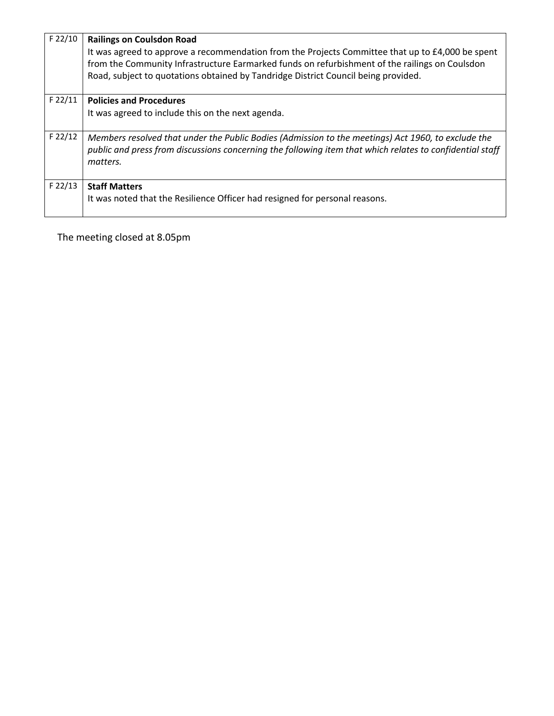| $F$ 22/10 | <b>Railings on Coulsdon Road</b><br>It was agreed to approve a recommendation from the Projects Committee that up to £4,000 be spent<br>from the Community Infrastructure Earmarked funds on refurbishment of the railings on Coulsdon<br>Road, subject to quotations obtained by Tandridge District Council being provided. |
|-----------|------------------------------------------------------------------------------------------------------------------------------------------------------------------------------------------------------------------------------------------------------------------------------------------------------------------------------|
| $F$ 22/11 | <b>Policies and Procedures</b>                                                                                                                                                                                                                                                                                               |
|           | It was agreed to include this on the next agenda.                                                                                                                                                                                                                                                                            |
| $F$ 22/12 | Members resolved that under the Public Bodies (Admission to the meetings) Act 1960, to exclude the<br>public and press from discussions concerning the following item that which relates to confidential staff<br>matters.                                                                                                   |
| $F$ 22/13 | <b>Staff Matters</b><br>It was noted that the Resilience Officer had resigned for personal reasons.                                                                                                                                                                                                                          |

The meeting closed at 8.05pm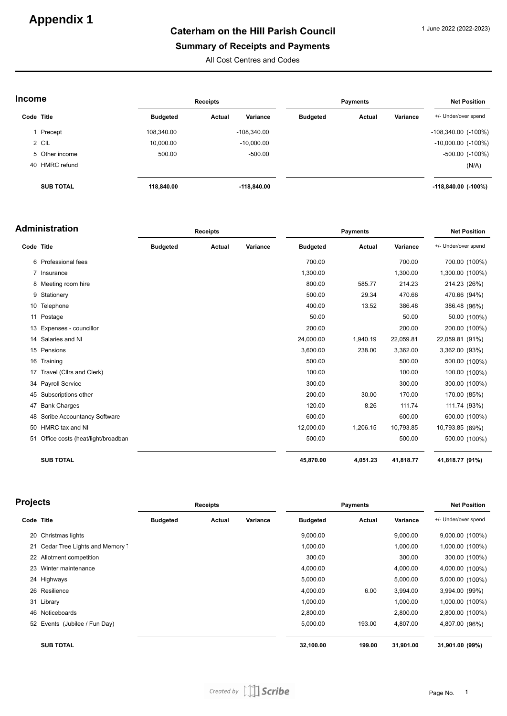# **Appendix 1**

# **Caterham on the Hill Parish Council**

#### **Summary of Receipts and Payments**

All Cost Centres and Codes

| Income     |                  |                 | <b>Receipts</b>    | <b>Payments</b> |        |          | <b>Net Position</b>       |  |
|------------|------------------|-----------------|--------------------|-----------------|--------|----------|---------------------------|--|
| Code Title |                  | <b>Budgeted</b> | Variance<br>Actual | <b>Budgeted</b> | Actual | Variance | +/- Under/over spend      |  |
|            | Precept          | 108,340.00      | $-108,340.00$      |                 |        |          | $-108,340.00$ $(-100\%)$  |  |
|            | 2 CIL            | 10,000.00       | $-10,000.00$       |                 |        |          | $-10,000.00$ ( $-100\%$ ) |  |
|            | 5 Other income   | 500.00          | $-500.00$          |                 |        |          | $-500.00$ $(-100\%)$      |  |
|            | 40 HMRC refund   |                 |                    |                 |        |          | (N/A)                     |  |
|            | <b>SUB TOTAL</b> | 118,840.00      | $-118,840.00$      |                 |        |          | $-118,840.00$ (-100%)     |  |

|            | Administration                    | <b>Receipts</b> |               |          | <b>Net Position</b> |               |           |                      |
|------------|-----------------------------------|-----------------|---------------|----------|---------------------|---------------|-----------|----------------------|
| Code Title |                                   | <b>Budgeted</b> | <b>Actual</b> | Variance | <b>Budgeted</b>     | <b>Actual</b> | Variance  | +/- Under/over spend |
|            | 6 Professional fees               |                 |               |          | 700.00              |               | 700.00    | 700.00 (100%)        |
|            | 7 Insurance                       |                 |               |          | 1,300.00            |               | 1,300.00  | 1,300.00 (100%)      |
|            | 8 Meeting room hire               |                 |               |          | 800.00              | 585.77        | 214.23    | 214.23 (26%)         |
|            | 9 Stationery                      |                 |               |          | 500.00              | 29.34         | 470.66    | 470.66 (94%)         |
| 10         | Telephone                         |                 |               |          | 400.00              | 13.52         | 386.48    | 386.48 (96%)         |
| 11         | Postage                           |                 |               |          | 50.00               |               | 50.00     | 50.00 (100%)         |
| 13         | Expenses - councillor             |                 |               |          | 200.00              |               | 200.00    | 200.00 (100%)        |
|            | 14 Salaries and NI                |                 |               |          | 24,000.00           | 1,940.19      | 22,059.81 | 22,059.81 (91%)      |
|            | 15 Pensions                       |                 |               |          | 3,600.00            | 238.00        | 3,362.00  | 3,362.00 (93%)       |
|            | 16 Training                       |                 |               |          | 500.00              |               | 500.00    | 500.00 (100%)        |
| 17         | Travel (Cllrs and Clerk)          |                 |               |          | 100.00              |               | 100.00    | 100.00 (100%)        |
|            | 34 Payroll Service                |                 |               |          | 300.00              |               | 300.00    | 300.00 (100%)        |
|            | 45 Subscriptions other            |                 |               |          | 200.00              | 30.00         | 170.00    | 170.00 (85%)         |
| 47         | <b>Bank Charges</b>               |                 |               |          | 120.00              | 8.26          | 111.74    | 111.74 (93%)         |
|            | 48 Scribe Accountancy Software    |                 |               |          | 600.00              |               | 600.00    | 600.00 (100%)        |
|            | 50 HMRC tax and NI                |                 |               |          | 12,000.00           | 1,206.15      | 10,793.85 | 10,793.85 (89%)      |
| 51         | Office costs (heat/light/broadban |                 |               |          | 500.00              |               | 500.00    | 500.00 (100%)        |
|            | <b>SUB TOTAL</b>                  |                 |               |          | 45,870.00           | 4,051.23      | 41,818.77 | 41,818.77 (91%)      |

| Projects   |                                   | <b>Receipts</b> |        |          | <b>Payments</b> |        |           | <b>Net Position</b>  |  |
|------------|-----------------------------------|-----------------|--------|----------|-----------------|--------|-----------|----------------------|--|
| Code Title |                                   | <b>Budgeted</b> | Actual | Variance | <b>Budgeted</b> | Actual | Variance  | +/- Under/over spend |  |
|            | 20 Christmas lights               |                 |        |          | 9,000.00        |        | 9,000.00  | 9,000.00 (100%)      |  |
|            | 21 Cedar Tree Lights and Memory 1 |                 |        |          | 1,000.00        |        | 1,000.00  | 1,000.00 (100%)      |  |
|            | 22 Allotment competition          |                 |        |          | 300.00          |        | 300.00    | 300.00 (100%)        |  |
|            | 23 Winter maintenance             |                 |        |          | 4,000.00        |        | 4,000.00  | 4,000.00 (100%)      |  |
|            | 24 Highways                       |                 |        |          | 5,000.00        |        | 5,000.00  | 5,000.00 (100%)      |  |
|            | 26 Resilience                     |                 |        |          | 4,000.00        | 6.00   | 3,994.00  | 3,994.00 (99%)       |  |
|            | 31 Library                        |                 |        |          | 1,000.00        |        | 1,000.00  | 1,000.00 (100%)      |  |
|            | 46 Noticeboards                   |                 |        |          | 2,800.00        |        | 2,800.00  | 2,800.00 (100%)      |  |
|            | 52 Events (Jubilee / Fun Day)     |                 |        |          | 5,000.00        | 193.00 | 4,807.00  | 4,807.00 (96%)       |  |
|            | <b>SUB TOTAL</b>                  |                 |        |          | 32,100.00       | 199.00 | 31,901.00 | 31,901.00 (99%)      |  |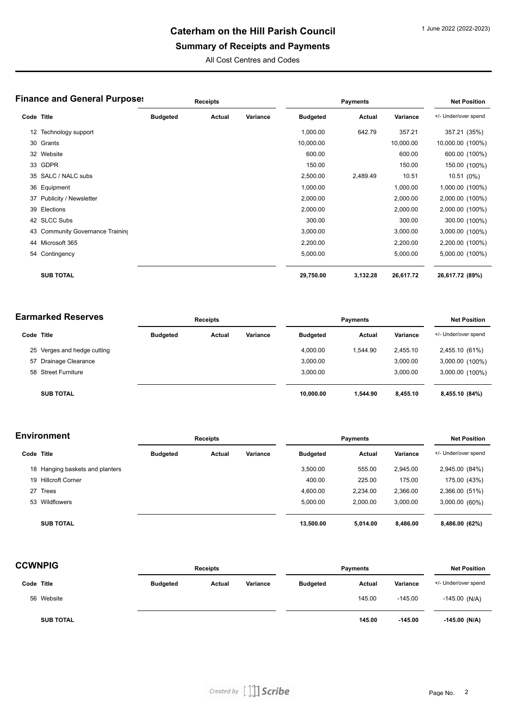# **Caterham on the Hill Parish Council**

# **Summary of Receipts and Payments**

All Cost Centres and Codes

|            | <b>Finance and General Purposes</b> | <b>Receipts</b> |        |          | <b>Payments</b> |          |           | <b>Net Position</b>  |  |
|------------|-------------------------------------|-----------------|--------|----------|-----------------|----------|-----------|----------------------|--|
| Code Title |                                     | <b>Budgeted</b> | Actual | Variance | <b>Budgeted</b> | Actual   | Variance  | +/- Under/over spend |  |
|            | 12 Technology support               |                 |        |          | 1,000.00        | 642.79   | 357.21    | 357.21 (35%)         |  |
|            | 30 Grants                           |                 |        |          | 10,000.00       |          | 10,000.00 | 10,000.00 (100%)     |  |
|            | 32 Website                          |                 |        |          | 600.00          |          | 600.00    | 600.00 (100%)        |  |
|            | 33 GDPR                             |                 |        |          | 150.00          |          | 150.00    | 150.00 (100%)        |  |
|            | 35 SALC / NALC subs                 |                 |        |          | 2,500.00        | 2,489.49 | 10.51     | 10.51 (0%)           |  |
|            | 36 Equipment                        |                 |        |          | 1,000.00        |          | 1,000.00  | 1,000.00 (100%)      |  |
|            | 37 Publicity / Newsletter           |                 |        |          | 2,000.00        |          | 2,000.00  | 2,000.00 (100%)      |  |
|            | 39 Elections                        |                 |        |          | 2,000.00        |          | 2,000.00  | 2,000.00 (100%)      |  |
|            | 42 SLCC Subs                        |                 |        |          | 300.00          |          | 300.00    | 300.00 (100%)        |  |
|            | 43 Community Governance Training    |                 |        |          | 3,000.00        |          | 3,000.00  | 3,000.00 (100%)      |  |
|            | 44 Microsoft 365                    |                 |        |          | 2,200.00        |          | 2,200.00  | 2,200.00 (100%)      |  |
|            | 54 Contingency                      |                 |        |          | 5,000.00        |          | 5,000.00  | 5,000.00 (100%)      |  |
|            | <b>SUB TOTAL</b>                    |                 |        |          | 29,750.00       | 3,132.28 | 26,617.72 | 26,617.72 (89%)      |  |

| <b>Earmarked Reserves</b> |                             |                 | <b>Receipts</b> |          |                 | <b>Payments</b> |          |                      |
|---------------------------|-----------------------------|-----------------|-----------------|----------|-----------------|-----------------|----------|----------------------|
| Code Title                |                             | <b>Budgeted</b> | Actual          | Variance | <b>Budgeted</b> | Actual          | Variance | +/- Under/over spend |
|                           | 25 Verges and hedge cutting |                 |                 |          | 4.000.00        | 1.544.90        | 2.455.10 | 2,455.10 (61%)       |
|                           | 57 Drainage Clearance       |                 |                 |          | 3,000.00        |                 | 3,000.00 | 3,000.00 (100%)      |
|                           | 58 Street Furniture         |                 |                 |          | 3.000.00        |                 | 3.000.00 | 3,000.00 (100%)      |
|                           | <b>SUB TOTAL</b>            |                 |                 |          | 10.000.00       | 1.544.90        | 8,455.10 | 8,455.10 (84%)       |

| <b>Environment</b> |                                 | <b>Receipts</b> |        | <b>Payments</b> |                 |               | <b>Net Position</b> |                      |
|--------------------|---------------------------------|-----------------|--------|-----------------|-----------------|---------------|---------------------|----------------------|
| Code Title         |                                 | <b>Budgeted</b> | Actual | Variance        | <b>Budgeted</b> | <b>Actual</b> | Variance            | +/- Under/over spend |
|                    | 18 Hanging baskets and planters |                 |        |                 | 3,500.00        | 555.00        | 2,945.00            | 2,945.00 (84%)       |
|                    | 19 Hillcroft Corner             |                 |        |                 | 400.00          | 225.00        | 175.00              | 175.00 (43%)         |
| 27                 | <b>Trees</b>                    |                 |        |                 | 4,600.00        | 2,234.00      | 2,366.00            | 2,366.00 (51%)       |
|                    | 53 Wildflowers                  |                 |        |                 | 5,000.00        | 2,000.00      | 3,000.00            | 3,000.00 (60%)       |
|                    | <b>SUB TOTAL</b>                |                 |        |                 | 13,500.00       | 5.014.00      | 8,486.00            | 8,486.00 (62%)       |

| <b>CCWNPIG</b> | <b>Receipts</b><br><b>Payments</b> |                 | <b>Net Position</b> |          |                 |        |           |                      |
|----------------|------------------------------------|-----------------|---------------------|----------|-----------------|--------|-----------|----------------------|
| Code Title     |                                    | <b>Budgeted</b> | Actual              | Variance | <b>Budgeted</b> | Actual | Variance  | +/- Under/over spend |
|                | 56 Website                         |                 |                     |          |                 | 145.00 | $-145.00$ | $-145.00$ (N/A)      |
|                | <b>SUB TOTAL</b>                   |                 |                     |          |                 | 145.00 | $-145.00$ | $-145.00$ (N/A)      |